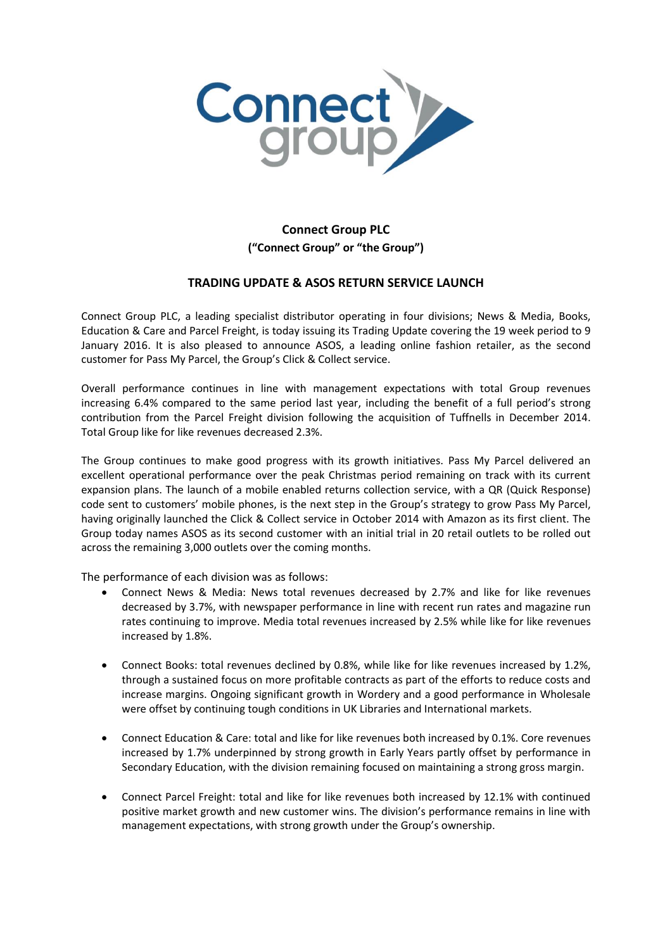

## **Connect Group PLC ("Connect Group" or "the Group")**

## **TRADING UPDATE & ASOS RETURN SERVICE LAUNCH**

Connect Group PLC, a leading specialist distributor operating in four divisions; News & Media, Books, Education & Care and Parcel Freight, is today issuing its Trading Update covering the 19 week period to 9 January 2016. It is also pleased to announce ASOS, a leading online fashion retailer, as the second customer for Pass My Parcel, the Group's Click & Collect service.

Overall performance continues in line with management expectations with total Group revenues increasing 6.4% compared to the same period last year, including the benefit of a full period's strong contribution from the Parcel Freight division following the acquisition of Tuffnells in December 2014. Total Group like for like revenues decreased 2.3%.

The Group continues to make good progress with its growth initiatives. Pass My Parcel delivered an excellent operational performance over the peak Christmas period remaining on track with its current expansion plans. The launch of a mobile enabled returns collection service, with a QR (Quick Response) code sent to customers' mobile phones, is the next step in the Group's strategy to grow Pass My Parcel, having originally launched the Click & Collect service in October 2014 with Amazon as its first client. The Group today names ASOS as its second customer with an initial trial in 20 retail outlets to be rolled out across the remaining 3,000 outlets over the coming months.

The performance of each division was as follows:

- Connect News & Media: News total revenues decreased by 2.7% and like for like revenues decreased by 3.7%, with newspaper performance in line with recent run rates and magazine run rates continuing to improve. Media total revenues increased by 2.5% while like for like revenues increased by 1.8%.
- Connect Books: total revenues declined by 0.8%, while like for like revenues increased by 1.2%, through a sustained focus on more profitable contracts as part of the efforts to reduce costs and increase margins. Ongoing significant growth in Wordery and a good performance in Wholesale were offset by continuing tough conditions in UK Libraries and International markets.
- Connect Education & Care: total and like for like revenues both increased by 0.1%. Core revenues increased by 1.7% underpinned by strong growth in Early Years partly offset by performance in Secondary Education, with the division remaining focused on maintaining a strong gross margin.
- Connect Parcel Freight: total and like for like revenues both increased by 12.1% with continued positive market growth and new customer wins. The division's performance remains in line with management expectations, with strong growth under the Group's ownership.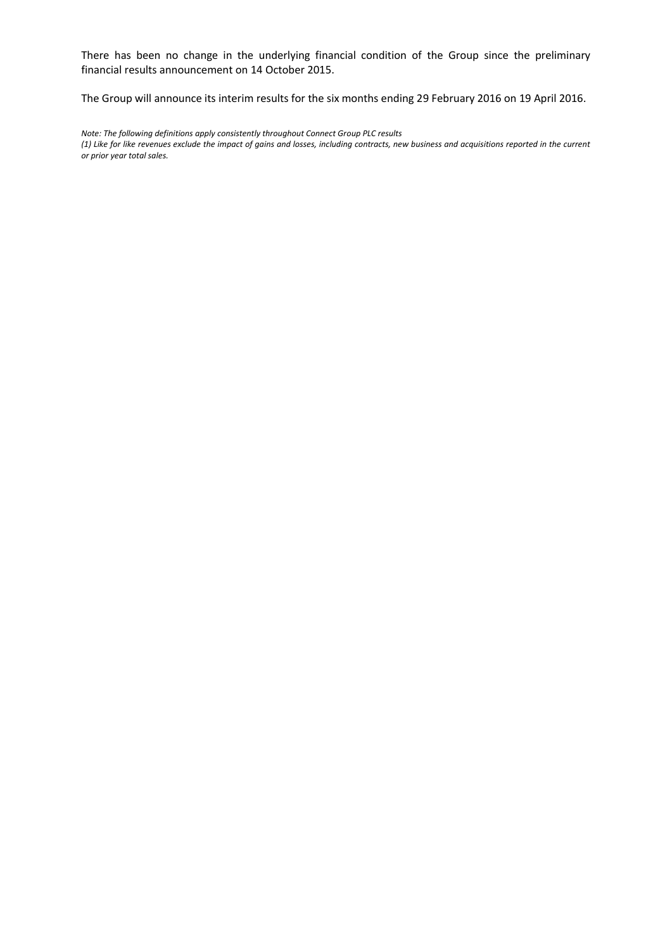There has been no change in the underlying financial condition of the Group since the preliminary financial results announcement on 14 October 2015.

The Group will announce its interim results for the six months ending 29 February 2016 on 19 April 2016.

*Note: The following definitions apply consistently throughout Connect Group PLC results (1) Like for like revenues exclude the impact of gains and losses, including contracts, new business and acquisitions reported in the current or prior year total sales.*